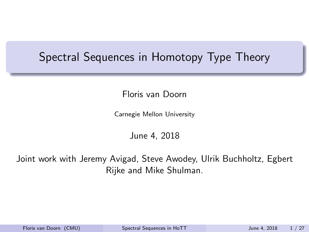#### <span id="page-0-0"></span>Spectral Sequences in Homotopy Type Theory

Floris van Doorn

Carnegie Mellon University

June 4, 2018

Joint work with Jeremy Avigad, Steve Awodey, Ulrik Buchholtz, Egbert Rijke and Mike Shulman.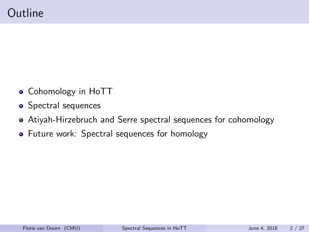- Cohomology in HoTT
- Spectral sequences
- Atiyah-Hirzebruch and Serre spectral sequences for cohomology
- Future work: Spectral sequences for homology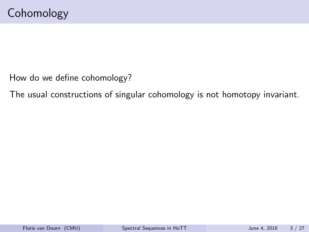How do we define cohomology?

The usual constructions of singular cohomology is not homotopy invariant.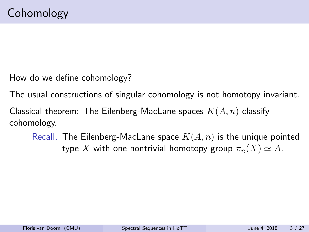How do we define cohomology?

The usual constructions of singular cohomology is not homotopy invariant.

Classical theorem: The Eilenberg-MacLane spaces  $K(A, n)$  classify cohomology.

Recall. The Eilenberg-MacLane space  $K(A, n)$  is the unique pointed type X with one nontrivial homotopy group  $\pi_n(X) \simeq A$ .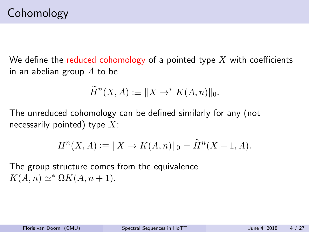We define the reduced cohomology of a pointed type  $X$  with coefficients in an abelian group  $A$  to be

$$
\widetilde{H}^n(X, A) := \|X \to^* K(A, n)\|_0.
$$

The unreduced cohomology can be defined similarly for any (not necessarily pointed) type  $X$ :

$$
H^{n}(X, A) := \|X \to K(A, n)\|_{0} = \widetilde{H}^{n}(X + 1, A).
$$

The group structure comes from the equivalence  $K(A, n) \simeq^* \Omega K(A, n + 1).$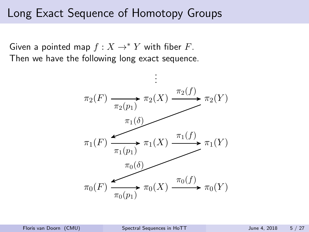#### Long Exact Sequence of Homotopy Groups

Given a pointed map  $f : X \to^* Y$  with fiber F. Then we have the following long exact sequence.

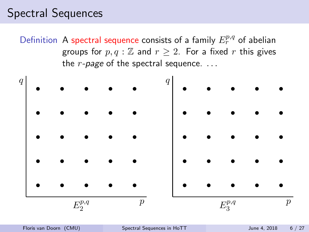Definition A spectral sequence consists of a family  $E_r^{p,q}$  of abelian groups for  $p, q : \mathbb{Z}$  and  $r \geq 2$ . For a fixed r this gives the  $r$ -page of the spectral sequence.  $\dots$ 

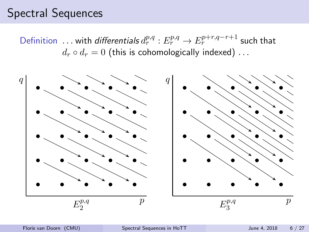Definition ... with differentials  $d_r^{p,q}: E_r^{p,q} \to E_r^{p+r,q-r+1}$  such that  $d_r \circ d_r = 0$  (this is cohomologically indexed) ...

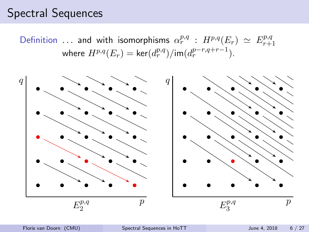Definition ... and with isomorphisms  $\alpha_r^{p,q}$  :  $H^{p,q}(E_r) \simeq E_{r+1}^{p,q}$  $r+1$ where  $H^{p,q}(E_r) = \text{ker}(d_r^{p,q})/\text{im}(d_r^{p-r,q+r-1})$ .

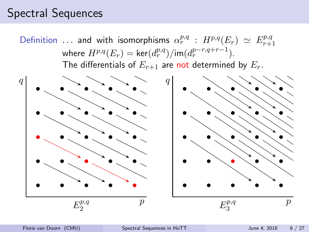Definition ... and with isomorphisms  $\alpha_r^{p,q}$  :  $H^{p,q}(E_r) \simeq E_{r+1}^{p,q}$  $r+1$ where  $H^{p,q}(E_r) = \text{ker}(d_r^{p,q})/\text{im}(d_r^{p-r,q+r-1})$ . The differentials of  $E_{r+1}$  are not determined by  $E_r$ .

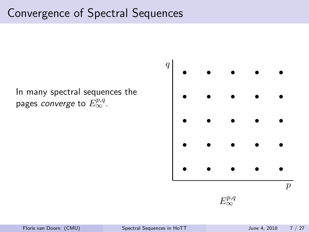In many spectral sequences the pages *converge* to  $E_\infty^{p,q}$ .



E p,q ∞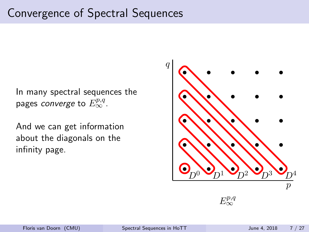In many spectral sequences the pages *converge* to  $E_\infty^{p,q}$ .

And we can get information about the diagonals on the infinity page.



E p,q ∞

 $\overline{q}$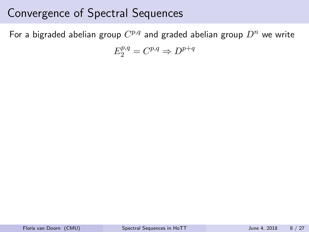For a bigraded abelian group  $C^{p,q}$  and graded abelian group  $D^n$  we write

$$
E_2^{p,q} = C^{p,q} \Rightarrow D^{p+q}
$$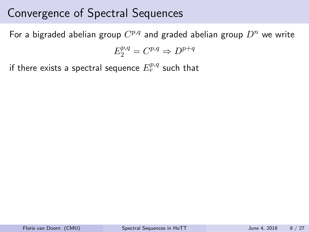For a bigraded abelian group  $C^{p,q}$  and graded abelian group  $D^n$  we write

$$
E_2^{p,q} = C^{p,q} \Rightarrow D^{p+q}
$$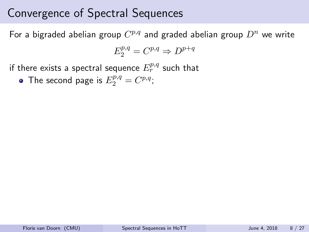For a bigraded abelian group  $C^{p,q}$  and graded abelian group  $D^n$  we write

$$
E_2^{p,q} = C^{p,q} \Rightarrow D^{p+q}
$$

if there exists a spectral sequence  $E_r^{p,q}$  such that

The second page is  $E_2^{p,q} = C^{p,q}$ ;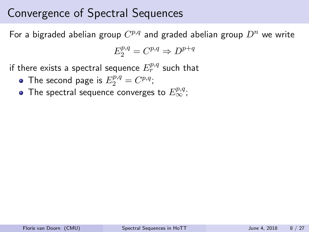For a bigraded abelian group  $C^{p,q}$  and graded abelian group  $D^n$  we write

$$
E_2^{p,q} = C^{p,q} \Rightarrow D^{p+q}
$$

- The second page is  $E_2^{p,q} = C^{p,q}$ ;
- The spectral sequence converges to  $E_{\infty}^{p,q}$ ;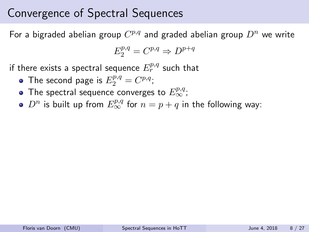For a bigraded abelian group  $C^{p,q}$  and graded abelian group  $D^n$  we write

$$
E_2^{p,q} = C^{p,q} \Rightarrow D^{p+q}
$$

- The second page is  $E_2^{p,q} = C^{p,q}$ ;
- The spectral sequence converges to  $E_{\infty}^{p,q}$ ;
- $D^n$  is built up from  $E_\infty^{p,q}$  for  $n=p+q$  in the following way: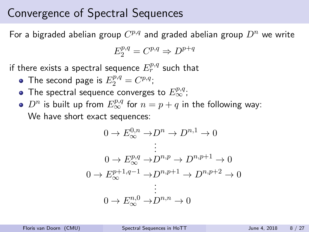For a bigraded abelian group  $C^{p,q}$  and graded abelian group  $D^n$  we write

$$
E_2^{p,q} = C^{p,q} \Rightarrow D^{p+q}
$$

- The second page is  $E_2^{p,q} = C^{p,q}$ ;
- The spectral sequence converges to  $E_{\infty}^{p,q}$ ;
- $D^n$  is built up from  $E_\infty^{p,q}$  for  $n=p+q$  in the following way: We have short exact sequences:

$$
0 \to E_{\infty}^{0,n} \to D^{n} \to D^{n,1} \to 0
$$
  
\n
$$
\vdots
$$
  
\n
$$
0 \to E_{\infty}^{p,q} \to D^{n,p} \to D^{n,p+1} \to 0
$$
  
\n
$$
0 \to E_{\infty}^{p+1,q-1} \to D^{n,p+1} \to D^{n,p+2} \to 0
$$
  
\n
$$
\vdots
$$
  
\n
$$
0 \to E_{\infty}^{n,0} \to D^{n,n} \to 0
$$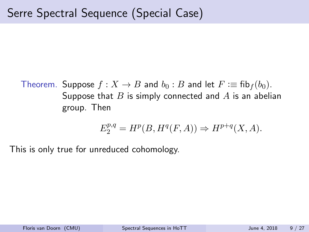Theorem. Suppose  $f: X \to B$  and  $b_0: B$  and let  $F := \text{fib}_f(b_0)$ . Suppose that  $B$  is simply connected and  $A$  is an abelian group. Then

$$
E^{p,q}_2 = H^p(B,H^q(F,A)) \Rightarrow H^{p+q}(X,A).
$$

This is only true for unreduced cohomology.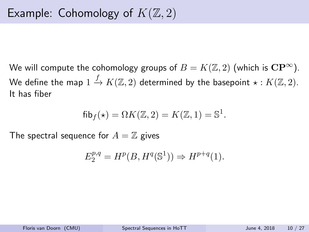We will compute the cohomology groups of  $B = K(\mathbb{Z}, 2)$  (which is  $\mathbf{CP}^{\infty}$ ). We define the map  $1\stackrel{f}{\to} K({\mathbb Z}, 2)$  determined by the basepoint  $\star: K({\mathbb Z}, 2).$ It has fiber

$$
fib_f(\star) = \Omega K(\mathbb{Z}, 2) = K(\mathbb{Z}, 1) = \mathbb{S}^1.
$$

The spectral sequence for  $A = \mathbb{Z}$  gives

$$
E_2^{p,q} = H^p(B, H^q(\mathbb{S}^1)) \Rightarrow H^{p+q}(1).
$$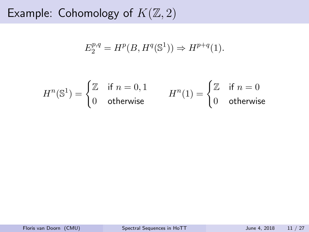$$
E_2^{p,q} = H^p(B, H^q(\mathbb{S}^1)) \Rightarrow H^{p+q}(1).
$$

$$
H^n(\mathbb{S}^1) = \begin{cases} \mathbb{Z} & \text{if } n = 0, 1 \\ 0 & \text{otherwise} \end{cases} \qquad H^n(1) = \begin{cases} \mathbb{Z} & \text{if } n = 0 \\ 0 & \text{otherwise} \end{cases}
$$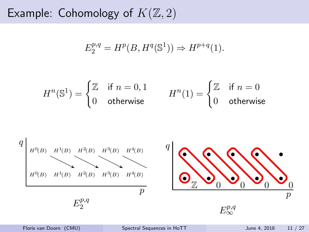$$
E_2^{p,q} = H^p(B, H^q(\mathbb{S}^1)) \Rightarrow H^{p+q}(1).
$$

$$
H^n(\mathbb{S}^1) = \begin{cases} \mathbb{Z} & \text{if } n = 0, 1 \\ 0 & \text{otherwise} \end{cases} \qquad H^n(1) = \begin{cases} \mathbb{Z} & \text{if } n = 0 \\ 0 & \text{otherwise} \end{cases}
$$

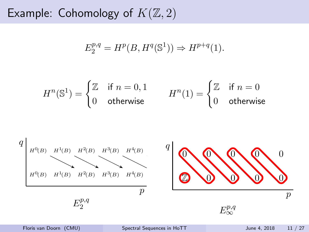$$
E_2^{p,q} = H^p(B, H^q(\mathbb{S}^1)) \Rightarrow H^{p+q}(1).
$$

$$
H^n(\mathbb{S}^1) = \begin{cases} \mathbb{Z} & \text{if } n = 0, 1 \\ 0 & \text{otherwise} \end{cases} \qquad H^n(1) = \begin{cases} \mathbb{Z} & \text{if } n = 0 \\ 0 & \text{otherwise} \end{cases}
$$

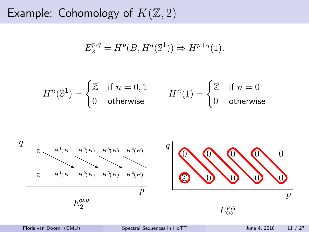$$
E_2^{p,q} = H^p(B, H^q(\mathbb{S}^1)) \Rightarrow H^{p+q}(1).
$$

$$
H^n(\mathbb{S}^1) = \begin{cases} \mathbb{Z} & \text{if } n = 0, 1 \\ 0 & \text{otherwise} \end{cases} \qquad H^n(1) = \begin{cases} \mathbb{Z} & \text{if } n = 0 \\ 0 & \text{otherwise} \end{cases}
$$

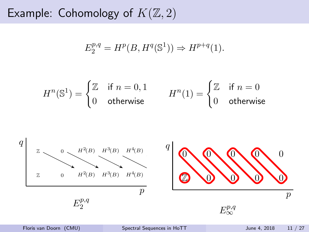$$
E_2^{p,q} = H^p(B, H^q(\mathbb{S}^1)) \Rightarrow H^{p+q}(1).
$$

$$
H^n(\mathbb{S}^1) = \begin{cases} \mathbb{Z} & \text{if } n = 0, 1 \\ 0 & \text{otherwise} \end{cases} \qquad H^n(1) = \begin{cases} \mathbb{Z} & \text{if } n = 0 \\ 0 & \text{otherwise} \end{cases}
$$

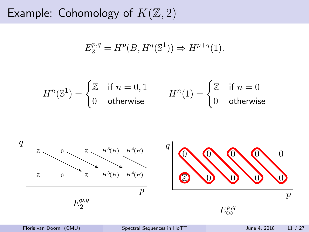$$
E_2^{p,q} = H^p(B, H^q(\mathbb{S}^1)) \Rightarrow H^{p+q}(1).
$$

$$
H^n(\mathbb{S}^1) = \begin{cases} \mathbb{Z} & \text{if } n = 0, 1 \\ 0 & \text{otherwise} \end{cases} \qquad H^n(1) = \begin{cases} \mathbb{Z} & \text{if } n = 0 \\ 0 & \text{otherwise} \end{cases}
$$

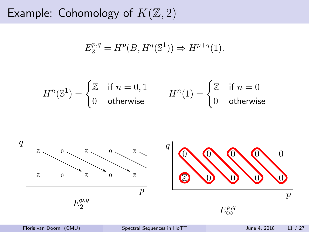$$
E_2^{p,q} = H^p(B, H^q(\mathbb{S}^1)) \Rightarrow H^{p+q}(1).
$$

$$
H^n(\mathbb{S}^1) = \begin{cases} \mathbb{Z} & \text{if } n = 0, 1 \\ 0 & \text{otherwise} \end{cases} \qquad H^n(1) = \begin{cases} \mathbb{Z} & \text{if } n = 0 \\ 0 & \text{otherwise} \end{cases}
$$

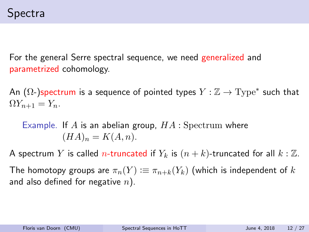For the general Serre spectral sequence, we need generalized and parametrized cohomology.

An ( $\Omega$ -)spectrum is a sequence of pointed types  $Y : \mathbb{Z} \to \mathrm{Type}^\ast$  such that  $\Omega Y_{n+1} = Y_n.$ 

Example. If A is an abelian group,  $HA$  : Spectrum where  $(HA)_n = K(A, n).$ 

A spectrum Y is called *n*-truncated if  $Y_k$  is  $(n + k)$ -truncated for all  $k : \mathbb{Z}$ .

The homotopy groups are  $\pi_n(Y) := \pi_{n+k}(Y_k)$  (which is independent of k and also defined for negative  $n$ ).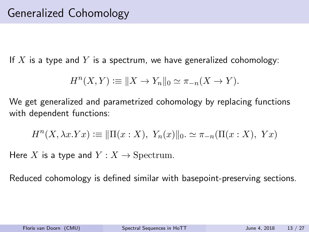If X is a type and Y is a spectrum, we have generalized cohomology:

$$
H^{n}(X,Y) := \|X \to Y_n\|_0 \simeq \pi_{-n}(X \to Y).
$$

We get generalized and parametrized cohomology by replacing functions with dependent functions:

$$
H^{n}(X, \lambda x. Yx) := \|\Pi(x : X), Y_{n}(x)\|_{0} \simeq \pi_{-n}(\Pi(x : X), Yx)
$$

Here X is a type and  $Y: X \to$  Spectrum.

Reduced cohomology is defined similar with basepoint-preserving sections.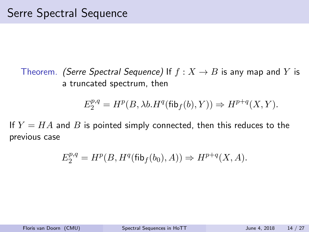Theorem. (Serre Spectral Sequence) If  $f : X \to B$  is any map and Y is a truncated spectrum, then

$$
E_2^{p,q}=H^p(B,\lambda b.H^q(\operatorname{fib}_{f}(b),Y))\Rightarrow H^{p+q}(X,Y).
$$

If  $Y = HA$  and B is pointed simply connected, then this reduces to the previous case

$$
E_2^{p,q} = H^p(B, H^q(\text{fib}_f(b_0), A)) \Rightarrow H^{p+q}(X, A).
$$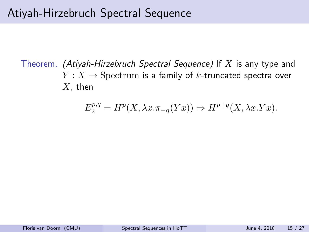Theorem. (Atiyah-Hirzebruch Spectral Sequence) If  $X$  is any type and  $Y: X \to$  Spectrum is a family of k-truncated spectra over  $X$ , then

$$
E_2^{p,q} = H^p(X, \lambda x. \pi_{-q}(Yx)) \Rightarrow H^{p+q}(X, \lambda x. Yx).
$$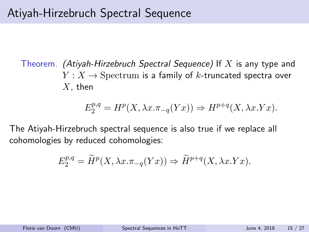Theorem. (Atiyah-Hirzebruch Spectral Sequence) If  $X$  is any type and  $Y: X \to$  Spectrum is a family of k-truncated spectra over  $X$ , then

$$
E_2^{p,q} = H^p(X, \lambda x. \pi_{-q}(Yx)) \Rightarrow H^{p+q}(X, \lambda x. Yx).
$$

The Atiyah-Hirzebruch spectral sequence is also true if we replace all cohomologies by reduced cohomologies:

$$
E_2^{p,q} = \widetilde{H}^p(X, \lambda x. \pi_{-q}(Yx)) \Rightarrow \widetilde{H}^{p+q}(X, \lambda x. Yx).
$$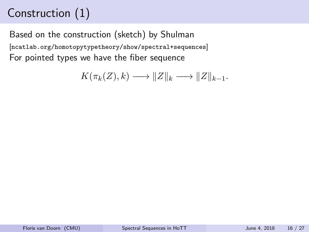# Construction (1)

Based on the construction (sketch) by Shulman [<ncatlab.org/homotopytypetheory/show/spectral+sequences>] For pointed types we have the fiber sequence

$$
K(\pi_k(Z), k) \longrightarrow ||Z||_k \longrightarrow ||Z||_{k-1}.
$$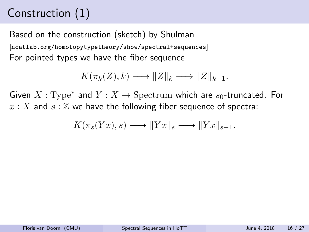# Construction (1)

Based on the construction (sketch) by Shulman [<ncatlab.org/homotopytypetheory/show/spectral+sequences>] For pointed types we have the fiber sequence

$$
K(\pi_k(Z), k) \longrightarrow ||Z||_k \longrightarrow ||Z||_{k-1}.
$$

Given  $X: \mathrm{Type}^*$  and  $Y: X \to \mathrm{Spectrum}$  which are  $s_0$ -truncated. For  $x: X$  and  $s: \mathbb{Z}$  we have the following fiber sequence of spectra:

$$
K(\pi_s(Yx),s) \longrightarrow ||Yx||_s \longrightarrow ||Yx||_{s-1}.
$$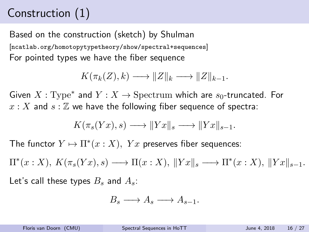# Construction (1)

Based on the construction (sketch) by Shulman [<ncatlab.org/homotopytypetheory/show/spectral+sequences>] For pointed types we have the fiber sequence

$$
K(\pi_k(Z), k) \longrightarrow ||Z||_k \longrightarrow ||Z||_{k-1}.
$$

Given  $X: \mathrm{Type}^*$  and  $Y: X \to \mathrm{Spectrum}$  which are  $s_0$ -truncated. For  $x: X$  and  $s: \mathbb{Z}$  we have the following fiber sequence of spectra:

$$
K(\pi_s(Yx), s) \longrightarrow ||Yx||_s \longrightarrow ||Yx||_{s-1}.
$$

The functor  $Y \mapsto \Pi^*(x : X)$ ,  $Yx$  preserves fiber sequences:

 $\Pi^*(x:X), K(\pi_s(Yx),s) \longrightarrow \Pi(x:X), ||Yx||_s \longrightarrow \Pi^*(x:X), ||Yx||_{s-1}.$ Let's call these types  $B_s$  and  $A_s$ :

$$
B_s \longrightarrow A_s \longrightarrow A_{s-1}.
$$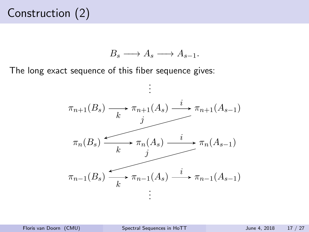# Construction (2)

$$
B_s \longrightarrow A_s \longrightarrow A_{s-1}.
$$

The long exact sequence of this fiber sequence gives:

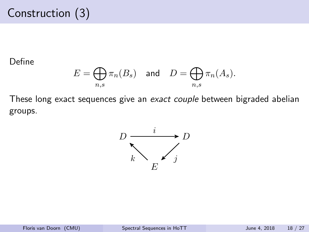# Construction (3)

#### Define

$$
E = \bigoplus_{n,s} \pi_n(B_s) \quad \text{and} \quad D = \bigoplus_{n,s} \pi_n(A_s).
$$

These long exact sequences give an exact couple between bigraded abelian groups.

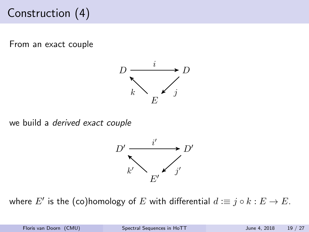# Construction (4)

From an exact couple



we build a derived exact couple



where  $E'$  is the (co)homology of  $E$  with differential  $d\coloneqq j\circ k: E\to E.$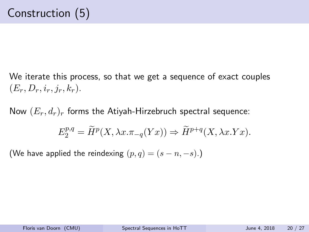We iterate this process, so that we get a sequence of exact couples  $(E_r, D_r, i_r, j_r, k_r).$ 

Now  $(E_r, d_r)_r$  forms the Atiyah-Hirzebruch spectral sequence:

$$
E_2^{p,q} = \widetilde{H}^p(X, \lambda x. \pi_{-q}(Yx)) \Rightarrow \widetilde{H}^{p+q}(X, \lambda x. Yx).
$$

(We have applied the reindexing  $(p, q) = (s - n, -s)$ .)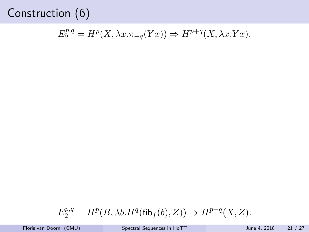## Construction (6)

$$
E_2^{p,q} = H^p(X, \lambda x. \pi_{-q}(Yx)) \Rightarrow H^{p+q}(X, \lambda x. Yx).
$$

$$
E_2^{p,q}=H^p(B,\lambda b.H^q(\operatorname{fib}_f(b),Z))\Rightarrow H^{p+q}(X,Z).
$$

Floris van Doorn (CMU) [Spectral Sequences in HoTT](#page-0-0) June 4, 2018 21 / 27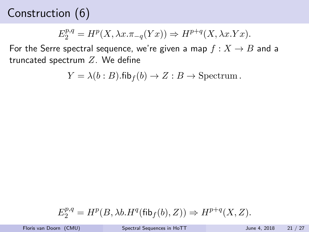## Construction (6)

$$
E_2^{p,q} = H^p(X, \lambda x. \pi_{-q}(Yx)) \Rightarrow H^{p+q}(X, \lambda x. Yx).
$$

For the Serre spectral sequence, we're given a map  $f: X \to B$  and a truncated spectrum  $Z$ . We define

$$
Y = \lambda(b:B).\mathsf{fib}_{f}(b) \to Z : B \to \text{Spectrum}.
$$

$$
E_2^{p,q}=H^p(B,\lambda b.H^q(\operatorname{fib}_f(b),Z))\Rightarrow H^{p+q}(X,Z).
$$

Floris van Doorn (CMU) [Spectral Sequences in HoTT](#page-0-0) June 4, 2018 21 / 27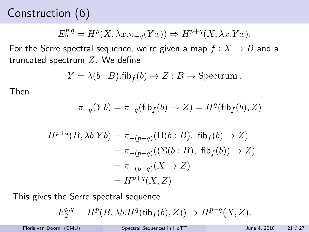# Construction (6)

$$
E_2^{p,q} = H^p(X, \lambda x. \pi_{-q}(Yx)) \Rightarrow H^{p+q}(X, \lambda x. Yx).
$$

For the Serre spectral sequence, we're given a map  $f: X \rightarrow B$  and a truncated spectrum  $Z$ . We define

$$
Y = \lambda(b:B).\mathsf{fib}_{f}(b) \to Z : B \to \text{Spectrum}.
$$

Then

$$
\pi_{-q}(Yb)=\pi_{-q}(\mathsf{fib}_{f}(b) \to Z)=H^q(\mathsf{fib}_{f}(b), Z)
$$

$$
H^{p+q}(B, \lambda b.Yb) = \pi_{-(p+q)}(\Pi(b:B), \text{ fib}_f(b) \to Z)
$$
  
=  $\pi_{-(p+q)}((\Sigma(b:B), \text{ fib}_f(b)) \to Z)$   
=  $\pi_{-(p+q)}(X \to Z)$   
=  $H^{p+q}(X, Z)$ 

This gives the Serre spectral sequence

$$
E_2^{p,q} = H^p(B, \lambda b. H^q(\text{fib}_f(b), Z)) \Rightarrow H^{p+q}(X, Z).
$$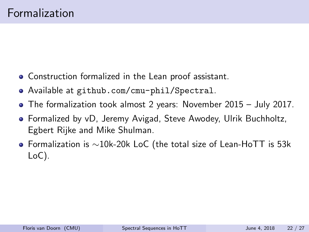- Construction formalized in the Lean proof assistant.
- Available at <github.com/cmu-phil/Spectral>.
- The formalization took almost 2 years: November 2015 July 2017.
- Formalized by vD, Jeremy Avigad, Steve Awodey, Ulrik Buchholtz, Egbert Rijke and Mike Shulman.
- Formalization is ∼10k-20k LoC (the total size of Lean-HoTT is 53k LoC).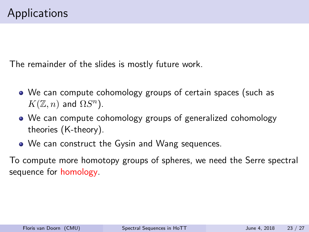The remainder of the slides is mostly future work.

- We can compute cohomology groups of certain spaces (such as  $K(\mathbb{Z}, n)$  and  $\Omega S^n$ ).
- We can compute cohomology groups of generalized cohomology theories (K-theory).
- We can construct the Gysin and Wang sequences.

To compute more homotopy groups of spheres, we need the Serre spectral sequence for homology.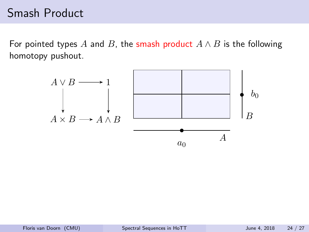#### Smash Product

For pointed types A and B, the smash product  $A \wedge B$  is the following homotopy pushout.

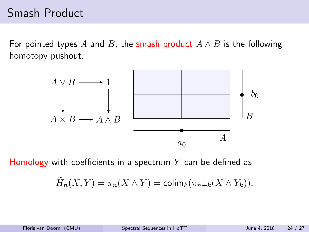#### Smash Product

For pointed types A and B, the smash product  $A \wedge B$  is the following homotopy pushout.



Homology with coefficients in a spectrum  $Y$  can be defined as

$$
\widetilde{H}_n(X,Y)=\pi_n(X\wedge Y)=\text{colim}_k(\pi_{n+k}(X\wedge Y_k)).
$$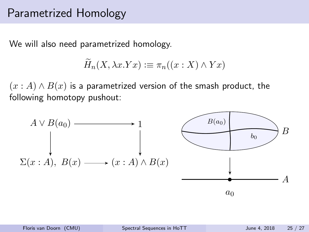#### Parametrized Homology

We will also need parametrized homology.

$$
\widetilde{H}_n(X, \lambda x. Yx) := \pi_n((x : X) \wedge Yx)
$$

 $(x : A) \wedge B(x)$  is a parametrized version of the smash product, the following homotopy pushout:

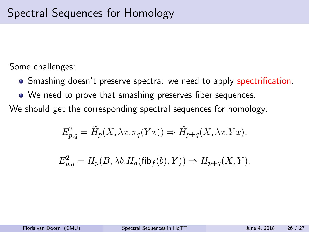Some challenges:

- Smashing doesn't preserve spectra: we need to apply spectrification.
- We need to prove that smashing preserves fiber sequences.

We should get the corresponding spectral sequences for homology:

$$
E_{p,q}^2 = \widetilde{H}_p(X, \lambda x. \pi_q(Yx)) \Rightarrow \widetilde{H}_{p+q}(X, \lambda x. Yx).
$$

$$
E_{p,q}^2 = H_p(B, \lambda b. H_q(\textsf{fib}_f(b), Y)) \Rightarrow H_{p+q}(X, Y).
$$